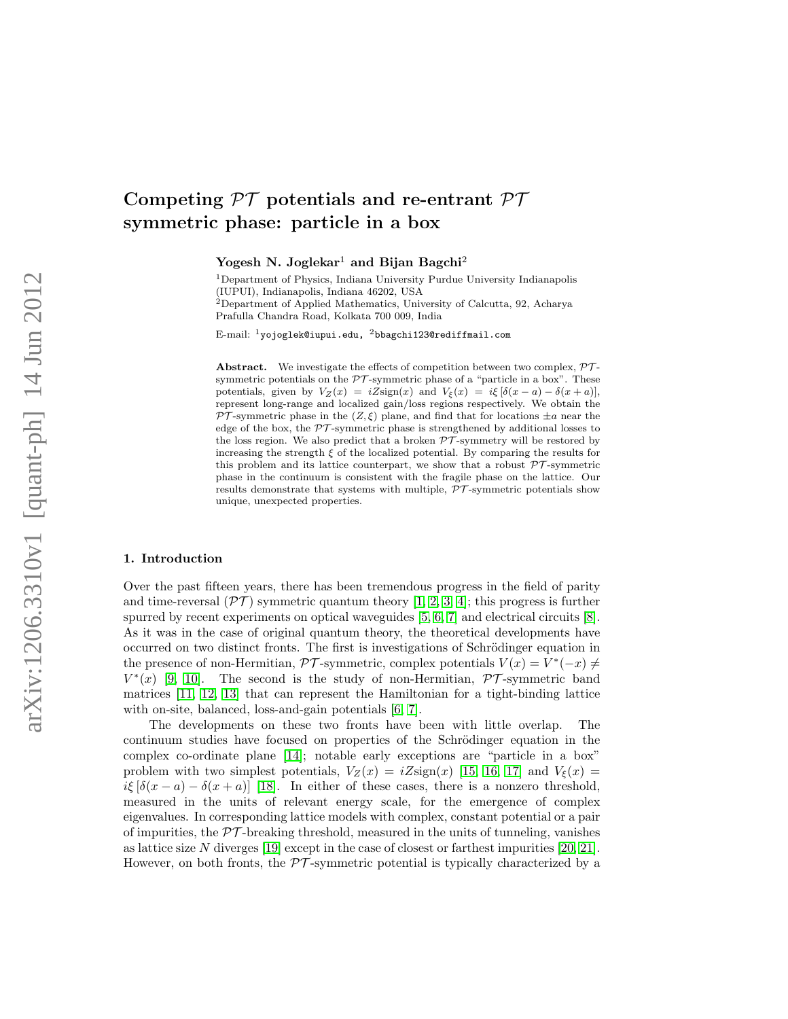# Competing  $\mathcal{PT}$  potentials and re-entrant  $\mathcal{PT}$ symmetric phase: particle in a box

Yogesh N. Joglekar<sup>1</sup> and Bijan Bagchi<sup>2</sup>

<sup>1</sup> Department of Physics, Indiana University Purdue University Indianapolis (IUPUI), Indianapolis, Indiana 46202, USA <sup>2</sup>Department of Applied Mathematics, University of Calcutta, 92, Acharya

Prafulla Chandra Road, Kolkata 700 009, India

E-mail: <sup>1</sup>yojoglek@iupui.edu, <sup>2</sup>bbagchi123@rediffmail.com

**Abstract.** We investigate the effects of competition between two complex,  $\mathcal{PT}$ symmetric potentials on the  $PT$ -symmetric phase of a "particle in a box". These potentials, given by  $V_Z(x) = iZ\text{sign}(x)$  and  $V_{\xi}(x) = i\xi[\delta(x-a) - \delta(x+a)],$ represent long-range and localized gain/loss regions respectively. We obtain the PT-symmetric phase in the  $(Z, \xi)$  plane, and find that for locations  $\pm a$  near the edge of the box, the  $\mathcal{PT}$ -symmetric phase is strengthened by additional losses to the loss region. We also predict that a broken  $\mathcal{PT}$ -symmetry will be restored by increasing the strength  $\xi$  of the localized potential. By comparing the results for this problem and its lattice counterpart, we show that a robust  $\mathcal{PT}$ -symmetric phase in the continuum is consistent with the fragile phase on the lattice. Our results demonstrate that systems with multiple,  $\overline{PT}$ -symmetric potentials show unique, unexpected properties.

#### 1. Introduction

Over the past fifteen years, there has been tremendous progress in the field of parity and time-reversal  $(\mathcal{PT})$  symmetric quantum theory [\[1,](#page-6-0) [2,](#page-6-1) [3,](#page-6-2) [4\]](#page-6-3); this progress is further spurred by recent experiments on optical waveguides [\[5,](#page-6-4) [6,](#page-6-5) [7\]](#page-6-6) and electrical circuits [\[8\]](#page-6-7). As it was in the case of original quantum theory, the theoretical developments have occurred on two distinct fronts. The first is investigations of Schrödinger equation in the presence of non-Hermitian,  $\mathcal{PT}$ -symmetric, complex potentials  $V(x) = V^*(-x) \neq$  $V^*(x)$  [\[9,](#page-6-8) [10\]](#page-6-9). The second is the study of non-Hermitian,  $\mathcal{PT}$ -symmetric band matrices [\[11,](#page-6-10) [12,](#page-6-11) [13\]](#page-6-12) that can represent the Hamiltonian for a tight-binding lattice with on-site, balanced, loss-and-gain potentials [\[6,](#page-6-5) [7\]](#page-6-6).

The developments on these two fronts have been with little overlap. The continuum studies have focused on properties of the Schrödinger equation in the complex co-ordinate plane [\[14\]](#page-6-13); notable early exceptions are "particle in a box" problem with two simplest potentials,  $V_Z(x) = iZ\text{sign}(x)$  [\[15,](#page-6-14) [16,](#page-6-15) [17\]](#page-6-16) and  $V_{\xi}(x) =$ iξ  $[\delta(x-a)-\delta(x+a)]$  [\[18\]](#page-6-17). In either of these cases, there is a nonzero threshold, measured in the units of relevant energy scale, for the emergence of complex eigenvalues. In corresponding lattice models with complex, constant potential or a pair of impurities, the  $\mathcal{PT}$ -breaking threshold, measured in the units of tunneling, vanishes as lattice size N diverges  $[19]$  except in the case of closest or farthest impurities  $[20, 21]$  $[20, 21]$ . However, on both fronts, the  $\mathcal{PT}$ -symmetric potential is typically characterized by a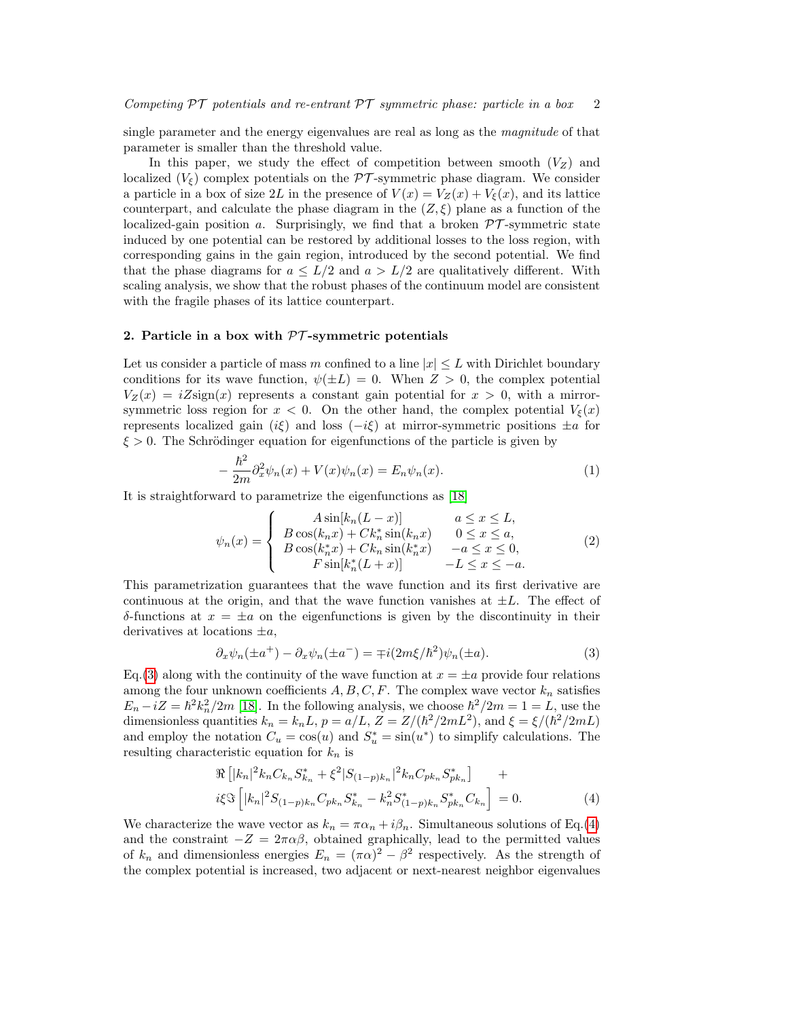single parameter and the energy eigenvalues are real as long as the magnitude of that parameter is smaller than the threshold value.

In this paper, we study the effect of competition between smooth  $(V_Z)$  and localized  $(V_{\xi})$  complex potentials on the PT-symmetric phase diagram. We consider a particle in a box of size 2L in the presence of  $V(x) = V_Z(x) + V_{\xi}(x)$ , and its lattice counterpart, and calculate the phase diagram in the  $(Z,\xi)$  plane as a function of the localized-gain position a. Surprisingly, we find that a broken  $\mathcal{PT}$ -symmetric state induced by one potential can be restored by additional losses to the loss region, with corresponding gains in the gain region, introduced by the second potential. We find that the phase diagrams for  $a \leq L/2$  and  $a > L/2$  are qualitatively different. With scaling analysis, we show that the robust phases of the continuum model are consistent with the fragile phases of its lattice counterpart.

## 2. Particle in a box with  $\mathcal{P}\mathcal{T}$ -symmetric potentials

Let us consider a particle of mass m confined to a line  $|x| \leq L$  with Dirichlet boundary conditions for its wave function,  $\psi(\pm L) = 0$ . When  $Z > 0$ , the complex potential  $V_Z(x) = iZ\text{sign}(x)$  represents a constant gain potential for  $x > 0$ , with a mirrorsymmetric loss region for  $x < 0$ . On the other hand, the complex potential  $V_{\xi}(x)$ represents localized gain (iξ) and loss (−iξ) at mirror-symmetric positions  $\pm a$  for  $\xi > 0$ . The Schrödinger equation for eigenfunctions of the particle is given by

$$
-\frac{\hbar^2}{2m}\partial_x^2\psi_n(x) + V(x)\psi_n(x) = E_n\psi_n(x).
$$
\n(1)

It is straightforward to parametrize the eigenfunctions as [\[18\]](#page-6-17)

$$
\psi_n(x) = \begin{cases}\nA \sin[k_n(L-x)] & a \le x \le L, \\
B \cos(k_n x) + C k_n^* \sin(k_n x) & 0 \le x \le a, \\
B \cos(k_n^* x) + C k_n \sin(k_n^* x) & -a \le x \le 0, \\
F \sin[k_n^*(L+x)] & -L \le x \le -a.\n\end{cases}
$$
\n(2)

This parametrization guarantees that the wave function and its first derivative are continuous at the origin, and that the wave function vanishes at  $\pm L$ . The effect of δ-functions at x = ±a on the eigenfunctions is given by the discontinuity in their derivatives at locations  $\pm a$ ,

<span id="page-1-0"></span>
$$
\partial_x \psi_n(\pm a^+) - \partial_x \psi_n(\pm a^-) = \mp i(2m\xi/\hbar^2)\psi_n(\pm a). \tag{3}
$$

Eq.[\(3\)](#page-1-0) along with the continuity of the wave function at  $x = \pm a$  provide four relations among the four unknown coefficients  $A, B, C, F$ . The complex wave vector  $k_n$  satisfies  $E_n - iZ = \hbar^2 k_n^2 / 2m$  [\[18\]](#page-6-17). In the following analysis, we choose  $\hbar^2 / 2m = 1 = L$ , use the dimensionless quantities  $k_n = k_n L$ ,  $p = a/L$ ,  $Z = Z/(\hbar^2/2mL^2)$ , and  $\xi = \xi/(\hbar^2/2mL)$ and employ the notation  $C_u = \cos(u)$  and  $S_u^* = \sin(u^*)$  to simplify calculations. The resulting characteristic equation for  $k_n$  is

<span id="page-1-1"></span>
$$
\Re\left[|k_n|^2 k_n C_{k_n} S_{k_n}^* + \xi^2 |S_{(1-p)k_n}|^2 k_n C_{pk_n} S_{pk_n}^*\right] + i\xi \Im\left[|k_n|^2 S_{(1-p)k_n} C_{pk_n} S_{k_n}^* - k_n^2 S_{(1-p)k_n}^* S_{pk_n}^* C_{k_n}\right] = 0.
$$
\n(4)

We characterize the wave vector as  $k_n = \pi \alpha_n + i \beta_n$ . Simultaneous solutions of Eq.[\(4\)](#page-1-1) and the constraint  $-Z = 2\pi\alpha\beta$ , obtained graphically, lead to the permitted values of  $k_n$  and dimensionless energies  $E_n = (\pi \alpha)^2 - \beta^2$  respectively. As the strength of the complex potential is increased, two adjacent or next-nearest neighbor eigenvalues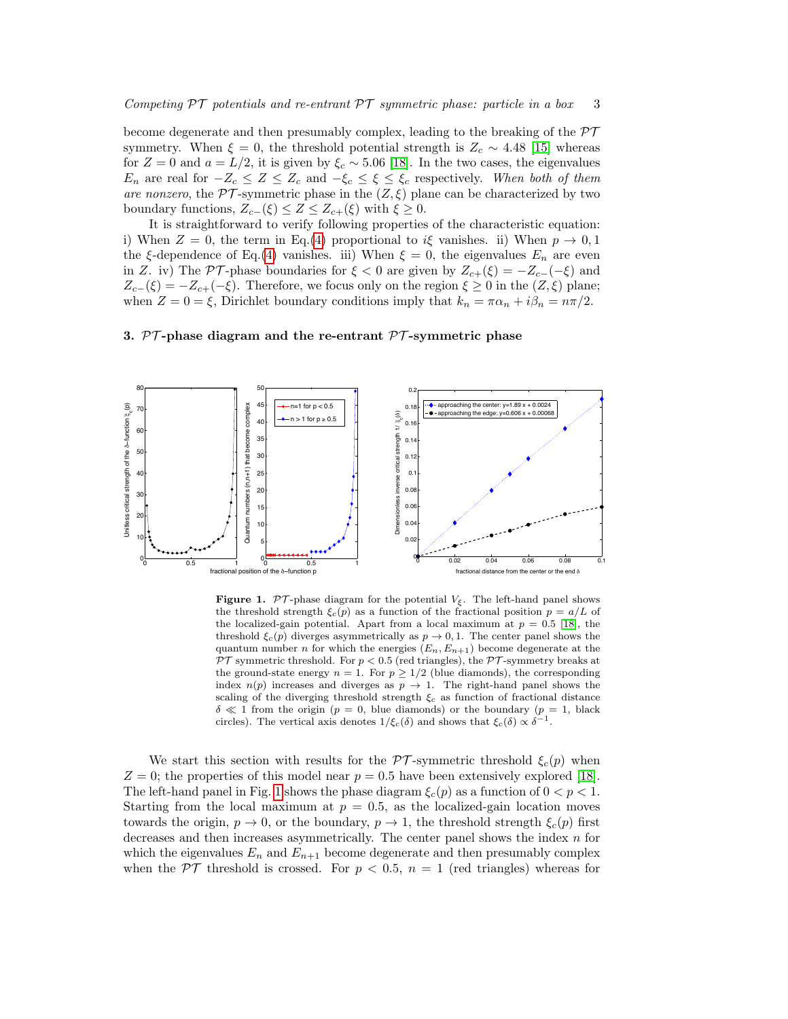become degenerate and then presumably complex, leading to the breaking of the  $\mathcal{PT}$ symmetry. When  $\xi = 0$ , the threshold potential strength is  $Z_c \sim 4.48$  [\[15\]](#page-6-14) whereas for  $Z = 0$  and  $a = L/2$ , it is given by  $\xi_c \sim 5.06$  [\[18\]](#page-6-17). In the two cases, the eigenvalues  $E_n$  are real for  $-Z_c \leq Z \leq Z_c$  and  $-\xi_c \leq \xi \leq \xi_c$  respectively. When both of them are nonzero, the  $\mathcal{PT}$ -symmetric phase in the  $(Z,\xi)$  plane can be characterized by two boundary functions,  $Z_{c-}(\xi) \leq Z \leq Z_{c+}(\xi)$  with  $\xi \geq 0$ .

It is straightforward to verify following properties of the characteristic equation: i) When  $Z = 0$ , the term in Eq.[\(4\)](#page-1-1) proportional to i $\xi$  vanishes. ii) When  $p \to 0,1$ the ξ-dependence of Eq.[\(4\)](#page-1-1) vanishes. iii) When  $\xi = 0$ , the eigenvalues  $E_n$  are even in Z. iv) The PT-phase boundaries for  $\xi < 0$  are given by  $Z_{c+}(\xi) = -Z_{c-}(-\xi)$  and  $Z_{c-}(\xi) = -Z_{c+}(-\xi)$ . Therefore, we focus only on the region  $\xi \geq 0$  in the  $(Z,\xi)$  plane; when  $Z = 0 = \xi$ , Dirichlet boundary conditions imply that  $k_n = \pi \alpha_n + i \beta_n = n\pi/2$ .

## 3. PT-phase diagram and the re-entrant PT-symmetric phase



<span id="page-2-0"></span>**Figure 1.** PT-phase diagram for the potential  $V_{\xi}$ . The left-hand panel shows the threshold strength  $\xi_c(p)$  as a function of the fractional position  $p = a/L$  of the localized-gain potential. Apart from a local maximum at  $p = 0.5$  [\[18\]](#page-6-17), the threshold  $\xi_c(p)$  diverges asymmetrically as  $p \to 0, 1$ . The center panel shows the quantum number n for which the energies  $(E_n, E_{n+1})$  become degenerate at the  $\mathcal{PT}$  symmetric threshold. For  $p < 0.5$  (red triangles), the  $\mathcal{PT}$ -symmetry breaks at the ground-state energy  $n = 1$ . For  $p \geq 1/2$  (blue diamonds), the corresponding index  $n(p)$  increases and diverges as  $p \to 1$ . The right-hand panel shows the scaling of the diverging threshold strength  $\xi_c$  as function of fractional distance  $\delta \ll 1$  from the origin (p = 0, blue diamonds) or the boundary (p = 1, black circles). The vertical axis denotes  $1/\xi_c(\delta)$  and shows that  $\xi_c(\delta) \propto \delta^{-1}$ .

We start this section with results for the  $\mathcal{PT}$ -symmetric threshold  $\xi_c(p)$  when  $Z = 0$ ; the properties of this model near  $p = 0.5$  have been extensively explored [\[18\]](#page-6-17). The left-hand panel in Fig. [1](#page-2-0) shows the phase diagram  $\xi_c(p)$  as a function of  $0 < p < 1$ . Starting from the local maximum at  $p = 0.5$ , as the localized-gain location moves towards the origin,  $p \to 0$ , or the boundary,  $p \to 1$ , the threshold strength  $\xi_c(p)$  first decreases and then increases asymmetrically. The center panel shows the index  $n$  for which the eigenvalues  $E_n$  and  $E_{n+1}$  become degenerate and then presumably complex when the  $\mathcal{PT}$  threshold is crossed. For  $p < 0.5$ ,  $n = 1$  (red triangles) whereas for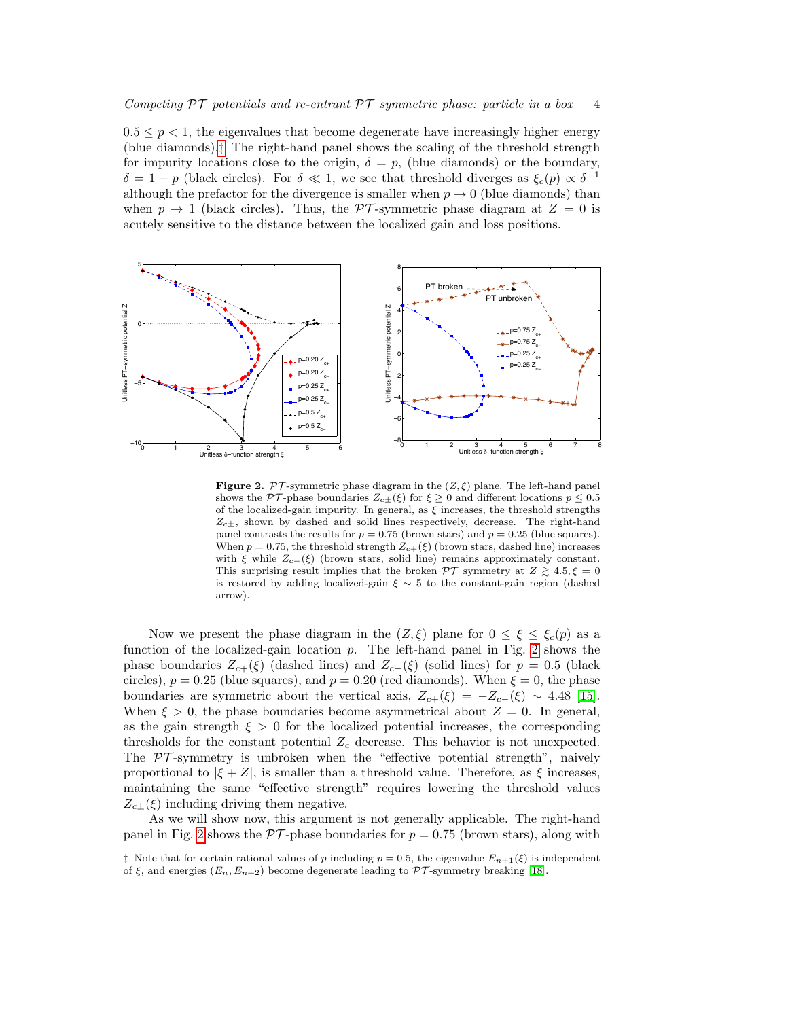$0.5 \leq p \leq 1$ , the eigenvalues that become degenerate have increasingly higher energy (blue diamonds).[‡](#page-3-0) The right-hand panel shows the scaling of the threshold strength for impurity locations close to the origin,  $\delta = p$ , (blue diamonds) or the boundary,  $\delta = 1 - p$  (black circles). For  $\delta \ll 1$ , we see that threshold diverges as  $\xi_c(p) \propto \delta^{-1}$ although the prefactor for the divergence is smaller when  $p \to 0$  (blue diamonds) than when  $p \to 1$  (black circles). Thus, the PT-symmetric phase diagram at  $Z = 0$  is acutely sensitive to the distance between the localized gain and loss positions.



<span id="page-3-1"></span>**Figure 2.** PT-symmetric phase diagram in the  $(Z, \xi)$  plane. The left-hand panel shows the PT-phase boundaries  $Z_{c\pm}(\xi)$  for  $\xi \geq 0$  and different locations  $p \leq 0.5$ of the localized-gain impurity. In general, as  $\xi$  increases, the threshold strengths  $Z_{c\pm}$ , shown by dashed and solid lines respectively, decrease. The right-hand panel contrasts the results for  $p = 0.75$  (brown stars) and  $p = 0.25$  (blue squares). When  $p = 0.75$ , the threshold strength  $Z_{c+}(\xi)$  (brown stars, dashed line) increases with  $\xi$  while  $Z_{c-}(\xi)$  (brown stars, solid line) remains approximately constant. This surprising result implies that the broken  $\mathcal{PT}$  symmetry at  $Z \geq 4.5, \xi = 0$ is restored by adding localized-gain  $\xi \sim 5$  to the constant-gain region (dashed arrow).

Now we present the phase diagram in the  $(Z,\xi)$  plane for  $0 \leq \xi \leq \xi_c(p)$  as a function of the localized-gain location  $p$ . The left-hand panel in Fig. [2](#page-3-1) shows the phase boundaries  $Z_{c+}(\xi)$  (dashed lines) and  $Z_{c-}(\xi)$  (solid lines) for  $p = 0.5$  (black circles),  $p = 0.25$  (blue squares), and  $p = 0.20$  (red diamonds). When  $\xi = 0$ , the phase boundaries are symmetric about the vertical axis,  $Z_{c+}(\xi) = -Z_{c-}(\xi) \sim 4.48$  [\[15\]](#page-6-14). When  $\xi > 0$ , the phase boundaries become asymmetrical about  $Z = 0$ . In general, as the gain strength  $\xi > 0$  for the localized potential increases, the corresponding thresholds for the constant potential  $Z_c$  decrease. This behavior is not unexpected. The  $\mathcal{PT}$ -symmetry is unbroken when the "effective potential strength", naively proportional to  $|\xi + Z|$ , is smaller than a threshold value. Therefore, as  $\xi$  increases, maintaining the same "effective strength" requires lowering the threshold values  $Z_{c\pm}(\xi)$  including driving them negative.

As we will show now, this argument is not generally applicable. The right-hand panel in Fig. [2](#page-3-1) shows the  $\mathcal{PT}\text{-phase boundaries}$  for  $p = 0.75$  (brown stars), along with

<span id="page-3-0"></span><sup>&</sup>lt;sup> $\ddagger$ </sup> Note that for certain rational values of p including  $p = 0.5$ , the eigenvalue  $E_{n+1}(\xi)$  is independent of  $\xi$ , and energies  $(E_n, E_{n+2})$  become degenerate leading to  $\mathcal{PT}$ -symmetry breaking [\[18\]](#page-6-17).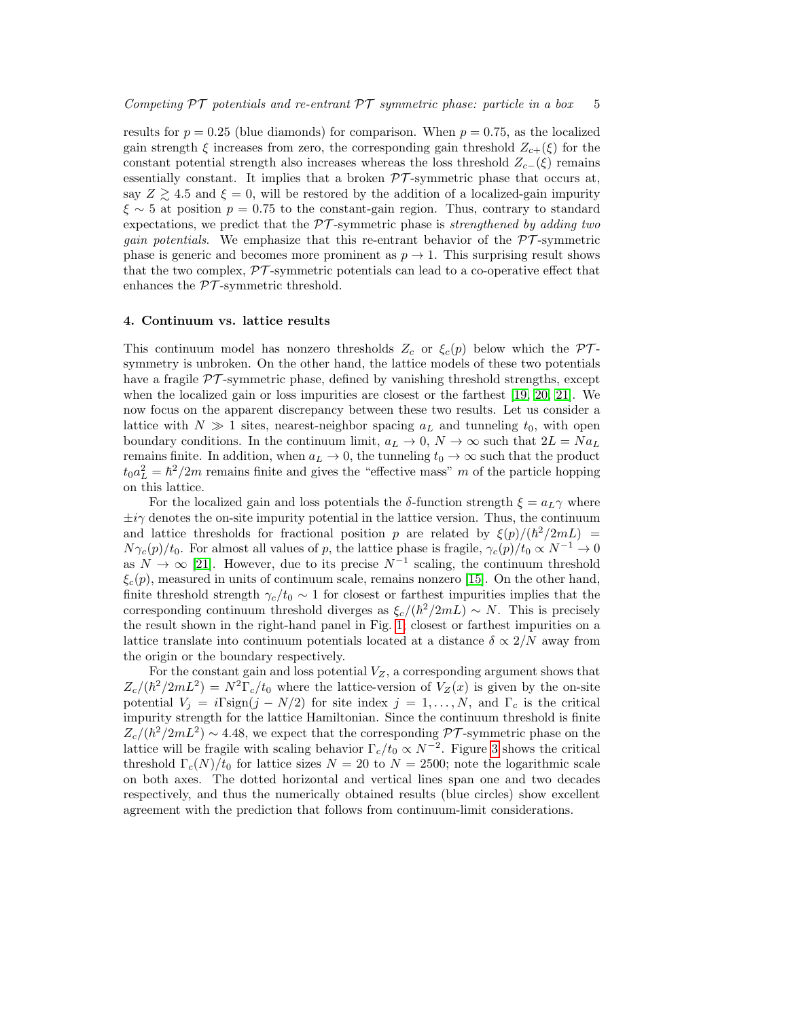results for  $p = 0.25$  (blue diamonds) for comparison. When  $p = 0.75$ , as the localized gain strength  $\xi$  increases from zero, the corresponding gain threshold  $Z_{c+}(\xi)$  for the constant potential strength also increases whereas the loss threshold  $Z_{c-}(\xi)$  remains essentially constant. It implies that a broken  $\mathcal{PT}$ -symmetric phase that occurs at, say  $Z \gtrsim 4.5$  and  $\xi = 0$ , will be restored by the addition of a localized-gain impurity  $\xi \sim 5$  at position  $p = 0.75$  to the constant-gain region. Thus, contrary to standard expectations, we predict that the  $\mathcal{PT}$ -symmetric phase is strengthened by adding two *gain potentials.* We emphasize that this re-entrant behavior of the  $\mathcal{PT}$ -symmetric phase is generic and becomes more prominent as  $p \to 1$ . This surprising result shows that the two complex,  $\mathcal{PT}$ -symmetric potentials can lead to a co-operative effect that enhances the  $\mathcal{PT}$ -symmetric threshold.

## 4. Continuum vs. lattice results

This continuum model has nonzero thresholds  $Z_c$  or  $\xi_c(p)$  below which the PTsymmetry is unbroken. On the other hand, the lattice models of these two potentials have a fragile  $\mathcal{PT}$ -symmetric phase, defined by vanishing threshold strengths, except when the localized gain or loss impurities are closest or the farthest [\[19,](#page-6-18) [20,](#page-6-19) [21\]](#page-6-20). We now focus on the apparent discrepancy between these two results. Let us consider a lattice with  $N \gg 1$  sites, nearest-neighbor spacing  $a<sub>L</sub>$  and tunneling  $t<sub>0</sub>$ , with open boundary conditions. In the continuum limit,  $a_L \to 0$ ,  $N \to \infty$  such that  $2L = Na<sub>L</sub>$ remains finite. In addition, when  $a_L \to 0$ , the tunneling  $t_0 \to \infty$  such that the product  $t_0 a_L^2 = \hbar^2 / 2m$  remains finite and gives the "effective mass" m of the particle hopping on this lattice.

For the localized gain and loss potentials the  $\delta$ -function strength  $\xi = a_L \gamma$  where  $\pm i\gamma$  denotes the on-site impurity potential in the lattice version. Thus, the continuum and lattice thresholds for fractional position p are related by  $\xi(p)/(\hbar^2/2mL)$  =  $N\gamma_c(p)/t_0$ . For almost all values of p, the lattice phase is fragile,  $\gamma_c(p)/t_0 \propto N^{-1} \to 0$ as  $N \to \infty$  [\[21\]](#page-6-20). However, due to its precise  $N^{-1}$  scaling, the continuum threshold  $\xi_c(p)$ , measured in units of continuum scale, remains nonzero [\[15\]](#page-6-14). On the other hand, finite threshold strength  $\gamma_c/t_0 \sim 1$  for closest or farthest impurities implies that the corresponding continuum threshold diverges as  $\xi_c/(\hbar^2/2mL) \sim N$ . This is precisely the result shown in the right-hand panel in Fig. [1;](#page-2-0) closest or farthest impurities on a lattice translate into continuum potentials located at a distance  $\delta \propto 2/N$  away from the origin or the boundary respectively.

For the constant gain and loss potential  $V_Z$ , a corresponding argument shows that  $Z_c/(\hbar^2/2mL^2) = N^2\Gamma_c/t_0$  where the lattice-version of  $V_Z(x)$  is given by the on-site potential  $V_j = i\Gamma \text{sign}(j - N/2)$  for site index  $j = 1, ..., N$ , and  $\Gamma_c$  is the critical impurity strength for the lattice Hamiltonian. Since the continuum threshold is finite  $Z_c/(\hbar^2/2mL^2) \sim 4.48$ , we expect that the corresponding PT-symmetric phase on the lattice will be fragile with scaling behavior  $\Gamma_c/t_0 \propto N^{-2}$ . Figure [3](#page-5-0) shows the critical threshold  $\Gamma_c(N)/t_0$  for lattice sizes  $N = 20$  to  $N = 2500$ ; note the logarithmic scale on both axes. The dotted horizontal and vertical lines span one and two decades respectively, and thus the numerically obtained results (blue circles) show excellent agreement with the prediction that follows from continuum-limit considerations.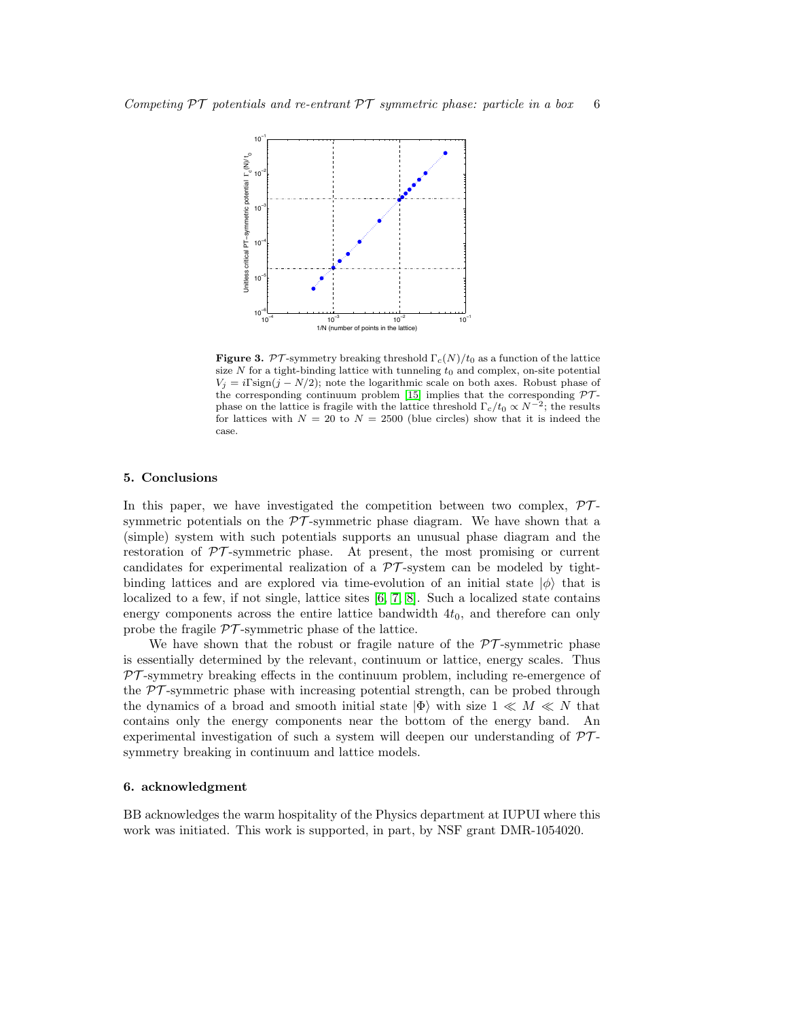

<span id="page-5-0"></span>**Figure 3.** PT-symmetry breaking threshold  $\Gamma_c(N)/t_0$  as a function of the lattice size N for a tight-binding lattice with tunneling  $t_0$  and complex, on-site potential  $V_j = i\Gamma \text{sign}(j - N/2)$ ; note the logarithmic scale on both axes. Robust phase of the corresponding continuum problem [\[15\]](#page-6-14) implies that the corresponding  $PT$ phase on the lattice is fragile with the lattice threshold  $\Gamma_c/t_0 \propto N^{-2}$ ; the results for lattices with  $N = 20$  to  $N = 2500$  (blue circles) show that it is indeed the case.

#### 5. Conclusions

In this paper, we have investigated the competition between two complex,  $\mathcal{P}\mathcal{T}$ symmetric potentials on the  $\mathcal{PT}$ -symmetric phase diagram. We have shown that a (simple) system with such potentials supports an unusual phase diagram and the restoration of  $PT$ -symmetric phase. At present, the most promising or current candidates for experimental realization of a  $\mathcal{PT}$ -system can be modeled by tightbinding lattices and are explored via time-evolution of an initial state  $|\phi\rangle$  that is localized to a few, if not single, lattice sites [\[6,](#page-6-5) [7,](#page-6-6) [8\]](#page-6-7). Such a localized state contains energy components across the entire lattice bandwidth  $4t<sub>0</sub>$ , and therefore can only probe the fragile  $\mathcal{PT}$ -symmetric phase of the lattice.

We have shown that the robust or fragile nature of the  $\mathcal{PT}$ -symmetric phase is essentially determined by the relevant, continuum or lattice, energy scales. Thus  $PT$ -symmetry breaking effects in the continuum problem, including re-emergence of the  $\mathcal{PT}$ -symmetric phase with increasing potential strength, can be probed through the dynamics of a broad and smooth initial state  $|\Phi\rangle$  with size  $1 \ll M \ll N$  that contains only the energy components near the bottom of the energy band. An experimental investigation of such a system will deepen our understanding of  $PT$ symmetry breaking in continuum and lattice models.

## 6. acknowledgment

BB acknowledges the warm hospitality of the Physics department at IUPUI where this work was initiated. This work is supported, in part, by NSF grant DMR-1054020.